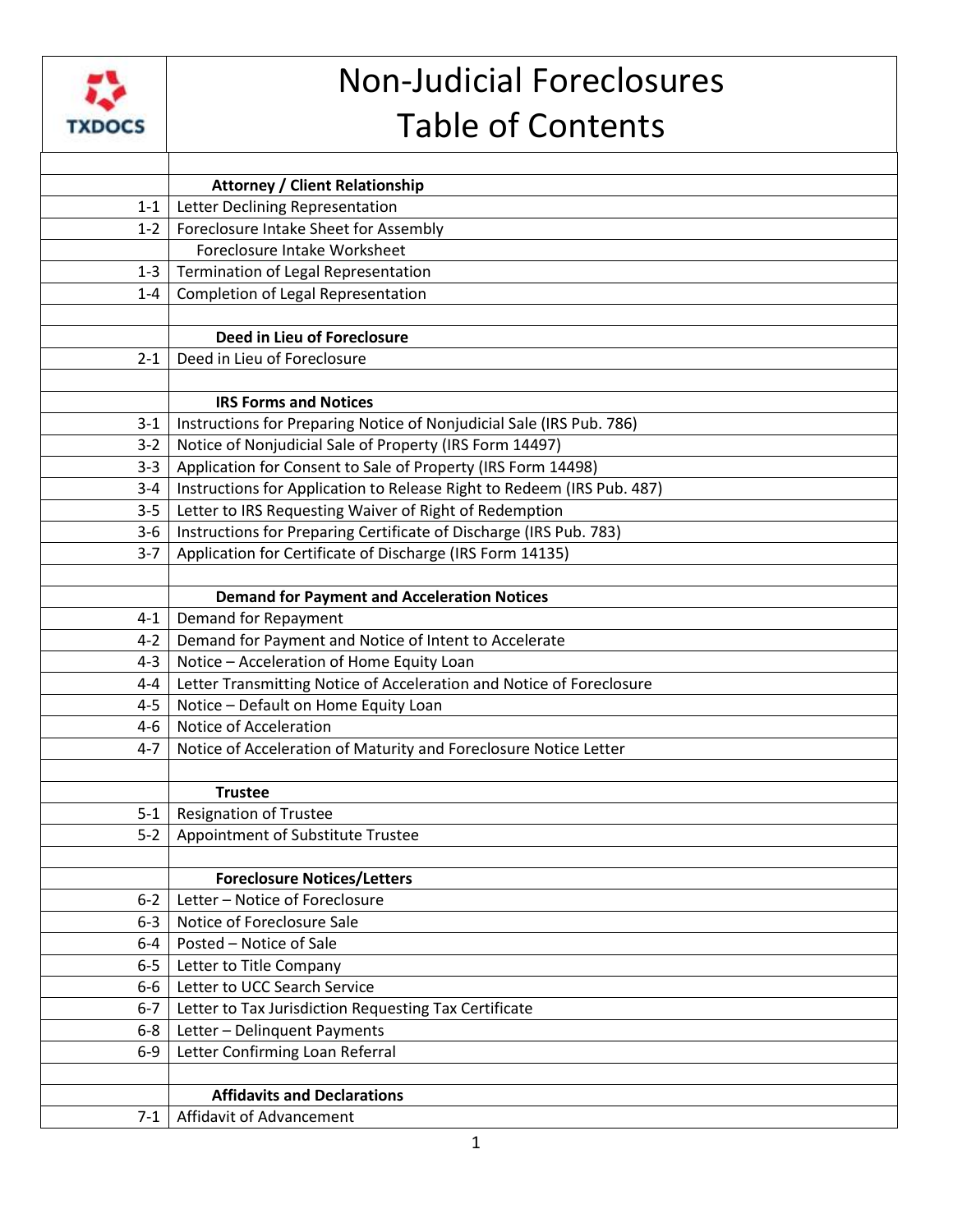

## Non-Judicial Foreclosures Table of Contents

|         | <b>Attorney / Client Relationship</b>                                  |
|---------|------------------------------------------------------------------------|
| $1 - 1$ | Letter Declining Representation                                        |
| $1-2$   | Foreclosure Intake Sheet for Assembly                                  |
|         | Foreclosure Intake Worksheet                                           |
| $1 - 3$ | Termination of Legal Representation                                    |
| $1 - 4$ | Completion of Legal Representation                                     |
|         |                                                                        |
|         | Deed in Lieu of Foreclosure                                            |
| $2 - 1$ | Deed in Lieu of Foreclosure                                            |
|         |                                                                        |
|         | <b>IRS Forms and Notices</b>                                           |
| $3 - 1$ | Instructions for Preparing Notice of Nonjudicial Sale (IRS Pub. 786)   |
| $3 - 2$ | Notice of Nonjudicial Sale of Property (IRS Form 14497)                |
| $3 - 3$ | Application for Consent to Sale of Property (IRS Form 14498)           |
| $3 - 4$ | Instructions for Application to Release Right to Redeem (IRS Pub. 487) |
| $3 - 5$ | Letter to IRS Requesting Waiver of Right of Redemption                 |
| $3-6$   | Instructions for Preparing Certificate of Discharge (IRS Pub. 783)     |
| $3 - 7$ | Application for Certificate of Discharge (IRS Form 14135)              |
|         |                                                                        |
|         | <b>Demand for Payment and Acceleration Notices</b>                     |
| $4 - 1$ | Demand for Repayment                                                   |
| $4 - 2$ | Demand for Payment and Notice of Intent to Accelerate                  |
| $4 - 3$ | Notice - Acceleration of Home Equity Loan                              |
| $4 - 4$ | Letter Transmitting Notice of Acceleration and Notice of Foreclosure   |
| $4 - 5$ | Notice - Default on Home Equity Loan                                   |
| $4 - 6$ | Notice of Acceleration                                                 |
| $4 - 7$ | Notice of Acceleration of Maturity and Foreclosure Notice Letter       |
|         |                                                                        |
|         | <b>Trustee</b>                                                         |
| $5 - 1$ | <b>Resignation of Trustee</b>                                          |
| $5-2$   | Appointment of Substitute Trustee                                      |
|         |                                                                        |
|         | <b>Foreclosure Notices/Letters</b>                                     |
| $6 - 2$ | Letter - Notice of Foreclosure                                         |
| $6 - 3$ | Notice of Foreclosure Sale                                             |
| $6 - 4$ | Posted - Notice of Sale                                                |
| $6-5$   | Letter to Title Company                                                |
| $6-6$   | Letter to UCC Search Service                                           |
| $6 - 7$ | Letter to Tax Jurisdiction Requesting Tax Certificate                  |
| $6 - 8$ | Letter - Delinquent Payments                                           |
| $6-9$   | Letter Confirming Loan Referral                                        |
|         |                                                                        |
|         | <b>Affidavits and Declarations</b>                                     |
| $7-1$   | Affidavit of Advancement                                               |